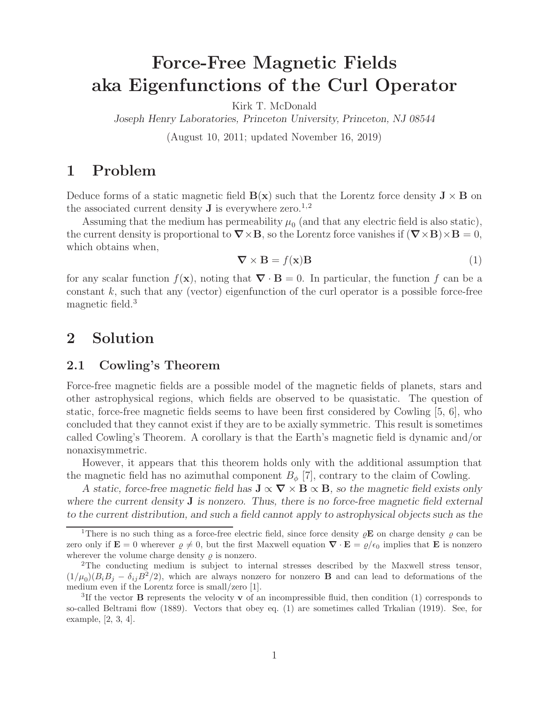# **Force-Free Magnetic Fields aka Eigenfunctions of the Curl Operator**

Kirk T. McDonald

*Joseph Henry Laboratories, Princeton University, Princeton, NJ 08544*

(August 10, 2011; updated November 16, 2019)

## **1 Problem**

Deduce forms of a static magnetic field  $\mathbf{B}(\mathbf{x})$  such that the Lorentz force density  $\mathbf{J} \times \mathbf{B}$  on the associated current density **J** is everywhere zero.<sup>1,2</sup>

Assuming that the medium has permeability  $\mu_0$  (and that any electric field is also static), the current density is proportional to  $\nabla \times \mathbf{B}$ , so the Lorentz force vanishes if  $(\nabla \times \mathbf{B}) \times \mathbf{B} = 0$ , which obtains when,

$$
\nabla \times \mathbf{B} = f(\mathbf{x})\mathbf{B} \tag{1}
$$

for any scalar function  $f(\mathbf{x})$ , noting that  $\nabla \cdot \mathbf{B} = 0$ . In particular, the function f can be a constant  $k$ , such that any (vector) eigenfunction of the curl operator is a possible force-free magnetic field.<sup>3</sup>

# **2 Solution**

#### **2.1 Cowling's Theorem**

Force-free magnetic fields are a possible model of the magnetic fields of planets, stars and other astrophysical regions, which fields are observed to be quasistatic. The question of static, force-free magnetic fields seems to have been first considered by Cowling [5, 6], who concluded that they cannot exist if they are to be axially symmetric. This result is sometimes called Cowling's Theorem. A corollary is that the Earth's magnetic field is dynamic and/or nonaxisymmetric.

However, it appears that this theorem holds only with the additional assumption that the magnetic field has no azimuthal component  $B_{\phi}$  [7], contrary to the claim of Cowling.

*A* static, force-free magnetic field has  $J \propto \nabla \times B \propto B$ , so the magnetic field exists only *where the current density* **J** *is nonzero. Thus, there is no force-free magnetic field external to the current distribution, and such a field cannot apply to astrophysical objects such as the*

<sup>&</sup>lt;sup>1</sup>There is no such thing as a force-free electric field, since force density  $\rho$ **E** on charge density  $\rho$  can be zero only if  $\mathbf{E} = 0$  wherever  $\rho \neq 0$ , but the first Maxwell equation  $\nabla \cdot \mathbf{E} = \rho/\epsilon_0$  implies that **E** is nonzero wherever the volume charge density  $\rho$  is nonzero.

<sup>&</sup>lt;sup>2</sup>The conducting medium is subject to internal stresses described by the Maxwell stress tensor,  $(1/\mu_0)(B_iB_j - \delta_{ij}B^2/2)$ , which are always nonzero for nonzero **B** and can lead to deformations of the medium even if the Lorentz force is small/zero [1].

<sup>3</sup>If the vector **B** represents the velocity **v** of an incompressible fluid, then condition (1) corresponds to so-called Beltrami flow (1889). Vectors that obey eq. (1) are sometimes called Trkalian (1919). See, for example, [2, 3, 4].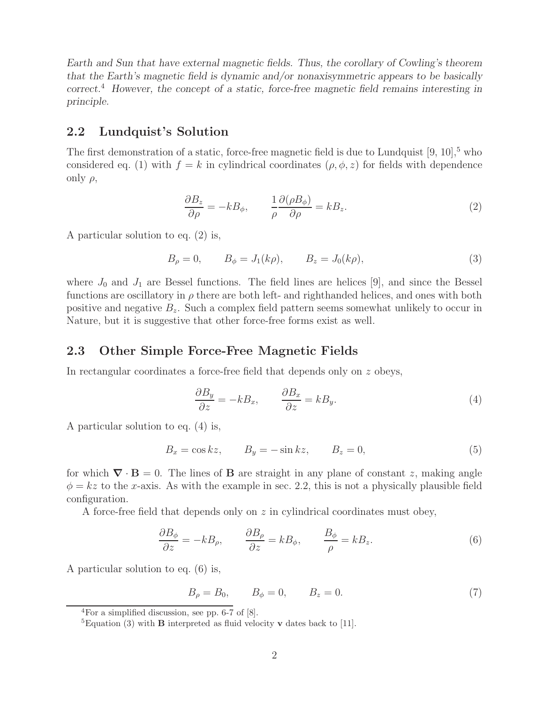*Earth and Sun that have external magnetic fields. Thus, the corollary of Cowling's theorem that the Earth's magnetic field is dynamic and/or nonaxisymmetric appears to be basically correct.*<sup>4</sup> *However, the concept of a static, force-free magnetic field remains interesting in principle.*

#### **2.2 Lundquist's Solution**

The first demonstration of a static, force-free magnetic field is due to Lundquist  $[9, 10]$ ,<sup>5</sup> who considered eq. (1) with  $f = k$  in cylindrical coordinates  $(\rho, \phi, z)$  for fields with dependence only  $\rho$ ,

$$
\frac{\partial B_z}{\partial \rho} = -kB_{\phi}, \qquad \frac{1}{\rho} \frac{\partial(\rho B_{\phi})}{\partial \rho} = kB_z.
$$
 (2)

A particular solution to eq. (2) is,

$$
B_{\rho} = 0, \qquad B_{\phi} = J_1(k\rho), \qquad B_z = J_0(k\rho), \tag{3}
$$

where  $J_0$  and  $J_1$  are Bessel functions. The field lines are helices [9], and since the Bessel functions are oscillatory in  $\rho$  there are both left- and righthanded helices, and ones with both positive and negative  $B_z$ . Such a complex field pattern seems somewhat unlikely to occur in Nature, but it is suggestive that other force-free forms exist as well.

#### **2.3 Other Simple Force-Free Magnetic Fields**

In rectangular coordinates a force-free field that depends only on z obeys,

$$
\frac{\partial B_y}{\partial z} = -kB_x, \qquad \frac{\partial B_x}{\partial z} = kB_y.
$$
\n(4)

A particular solution to eq. (4) is,

$$
B_x = \cos kz, \qquad B_y = -\sin kz, \qquad B_z = 0,
$$
\n<sup>(5)</sup>

for which  $\nabla \cdot \mathbf{B} = 0$ . The lines of **B** are straight in any plane of constant z, making angle  $\phi = kz$  to the x-axis. As with the example in sec. 2.2, this is not a physically plausible field configuration.

A force-free field that depends only on  $z$  in cylindrical coordinates must obey,

$$
\frac{\partial B_{\phi}}{\partial z} = -kB_{\rho}, \qquad \frac{\partial B_{\rho}}{\partial z} = kB_{\phi}, \qquad \frac{B_{\phi}}{\rho} = kB_{z}.
$$
 (6)

A particular solution to eq. (6) is,

$$
B_{\rho} = B_0, \qquad B_{\phi} = 0, \qquad B_z = 0.
$$
 (7)

 ${}^{4}$ For a simplified discussion, see pp. 6-7 of  $[8]$ .

<sup>&</sup>lt;sup>5</sup>Equation (3) with **B** interpreted as fluid velocity **v** dates back to [11].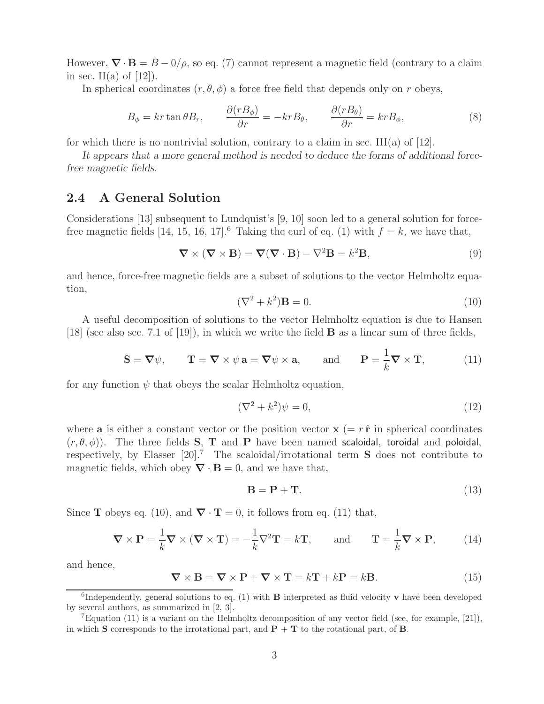However,  $\nabla \cdot \mathbf{B} = B - \frac{0}{\rho}$ , so eq. (7) cannot represent a magnetic field (contrary to a claim in sec. II(a) of  $[12]$ ).

In spherical coordinates  $(r, \theta, \phi)$  a force free field that depends only on r obeys,

$$
B_{\phi} = kr \tan \theta B_r, \qquad \frac{\partial (rB_{\phi})}{\partial r} = -kr B_{\theta}, \qquad \frac{\partial (rB_{\theta})}{\partial r} = kr B_{\phi}, \qquad (8)
$$

for which there is no nontrivial solution, contrary to a claim in sec. III(a) of  $[12]$ .

*It appears that a more general method is needed to deduce the forms of additional forcefree magnetic fields.*

#### **2.4 A General Solution**

Considerations [13] subsequent to Lundquist's [9, 10] soon led to a general solution for forcefree magnetic fields [14, 15, 16, 17].<sup>6</sup> Taking the curl of eq. (1) with  $f = k$ , we have that,

$$
\nabla \times (\nabla \times \mathbf{B}) = \nabla (\nabla \cdot \mathbf{B}) - \nabla^2 \mathbf{B} = k^2 \mathbf{B},
$$
\n(9)

and hence, force-free magnetic fields are a subset of solutions to the vector Helmholtz equation,

$$
(\nabla^2 + k^2)\mathbf{B} = 0.
$$
\n(10)

A useful decomposition of solutions to the vector Helmholtz equation is due to Hansen [18] (see also sec. 7.1 of [19]), in which we write the field **B** as a linear sum of three fields,

$$
\mathbf{S} = \nabla \psi, \qquad \mathbf{T} = \nabla \times \psi \mathbf{a} = \nabla \psi \times \mathbf{a}, \qquad \text{and} \qquad \mathbf{P} = \frac{1}{k} \nabla \times \mathbf{T}, \tag{11}
$$

for any function  $\psi$  that obeys the scalar Helmholtz equation,

$$
(\nabla^2 + k^2)\psi = 0,\t(12)
$$

where **a** is either a constant vector or the position vector  $\mathbf{x}$  (=  $r\hat{\mathbf{r}}$  in spherical coordinates  $(r, \theta, \phi)$ ). The three fields **S**, **T** and **P** have been named scaloidal, toroidal and poloidal, respectively, by Elasser [20].<sup>7</sup> The scaloidal/irrotational term **S** does not contribute to magnetic fields, which obey  $\nabla \cdot \mathbf{B} = 0$ , and we have that,

$$
\mathbf{B} = \mathbf{P} + \mathbf{T}.\tag{13}
$$

Since **T** obeys eq. (10), and  $\nabla \cdot \mathbf{T} = 0$ , it follows from eq. (11) that,

$$
\nabla \times \mathbf{P} = \frac{1}{k} \nabla \times (\nabla \times \mathbf{T}) = -\frac{1}{k} \nabla^2 \mathbf{T} = k \mathbf{T}, \quad \text{and} \quad \mathbf{T} = \frac{1}{k} \nabla \times \mathbf{P}, \quad (14)
$$

and hence,

$$
\nabla \times \mathbf{B} = \nabla \times \mathbf{P} + \nabla \times \mathbf{T} = k\mathbf{T} + k\mathbf{P} = k\mathbf{B}.
$$
 (15)

 ${}^6$ Independently, general solutions to eq. (1) with **B** interpreted as fluid velocity **v** have been developed by several authors, as summarized in [2, 3].

<sup>&</sup>lt;sup>7</sup>Equation (11) is a variant on the Helmholtz decomposition of any vector field (see, for example, [21]), in which **S** corresponds to the irrotational part, and  $P + T$  to the rotational part, of **B**.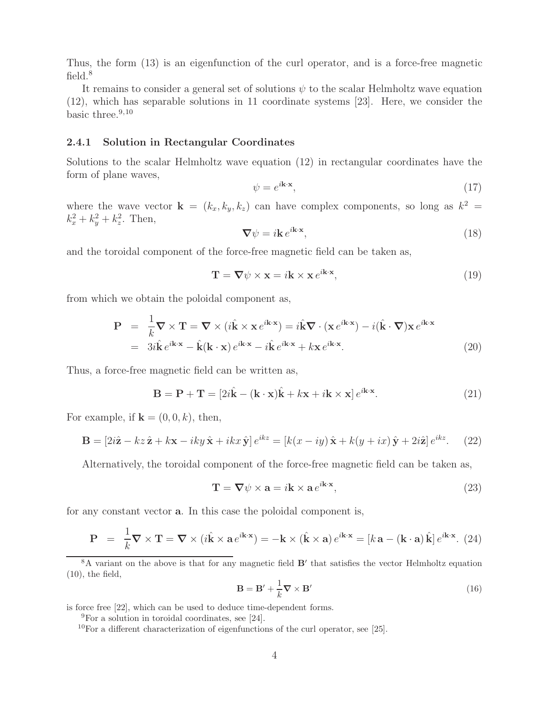Thus, the form (13) is an eigenfunction of the curl operator, and is a force-free magnetic field.<sup>8</sup>

It remains to consider a general set of solutions  $\psi$  to the scalar Helmholtz wave equation (12), which has separable solutions in 11 coordinate systems [23]. Here, we consider the basic three. $9,10$ 

#### **2.4.1 Solution in Rectangular Coordinates**

Solutions to the scalar Helmholtz wave equation (12) in rectangular coordinates have the form of plane waves,

$$
\psi = e^{i\mathbf{k}\cdot\mathbf{x}},\tag{17}
$$

where the wave vector  $\mathbf{k} = (k_x, k_y, k_z)$  can have complex components, so long as  $k^2 =$  $k_x^2 + k_y^2 + k_z^2$ . Then,

$$
\nabla \psi = i\mathbf{k} e^{i\mathbf{k}\cdot\mathbf{x}},\tag{18}
$$

and the toroidal component of the force-free magnetic field can be taken as,

$$
\mathbf{T} = \nabla \psi \times \mathbf{x} = i\mathbf{k} \times \mathbf{x} e^{i\mathbf{k} \cdot \mathbf{x}},\tag{19}
$$

from which we obtain the poloidal component as,

$$
\mathbf{P} = \frac{1}{k} \nabla \times \mathbf{T} = \nabla \times (i\hat{\mathbf{k}} \times \mathbf{x} e^{i\mathbf{k} \cdot \mathbf{x}}) = i\hat{\mathbf{k}} \nabla \cdot (\mathbf{x} e^{i\mathbf{k} \cdot \mathbf{x}}) - i(\hat{\mathbf{k}} \cdot \nabla) \mathbf{x} e^{i\mathbf{k} \cdot \mathbf{x}}
$$
  
=  $3i\hat{\mathbf{k}} e^{i\mathbf{k} \cdot \mathbf{x}} - \hat{\mathbf{k}} (\mathbf{k} \cdot \mathbf{x}) e^{i\mathbf{k} \cdot \mathbf{x}} - i\hat{\mathbf{k}} e^{i\mathbf{k} \cdot \mathbf{x}} + k \mathbf{x} e^{i\mathbf{k} \cdot \mathbf{x}}.$  (20)

Thus, a force-free magnetic field can be written as,

$$
\mathbf{B} = \mathbf{P} + \mathbf{T} = [2i\hat{\mathbf{k}} - (\mathbf{k} \cdot \mathbf{x})\hat{\mathbf{k}} + k\mathbf{x} + i\mathbf{k} \times \mathbf{x}] e^{i\mathbf{k}\cdot\mathbf{x}}.
$$
 (21)

For example, if  $\mathbf{k} = (0, 0, k)$ , then,

$$
\mathbf{B} = [2i\hat{\mathbf{z}} - kz\hat{\mathbf{z}} + k\mathbf{x} - iky\hat{\mathbf{x}} + ikx\hat{\mathbf{y}}]e^{ikz} = [k(x - iy)\hat{\mathbf{x}} + k(y + ix)\hat{\mathbf{y}} + 2i\hat{\mathbf{z}}]e^{ikz}.
$$
 (22)

Alternatively, the toroidal component of the force-free magnetic field can be taken as,

$$
\mathbf{T} = \nabla \psi \times \mathbf{a} = i\mathbf{k} \times \mathbf{a} e^{i\mathbf{k} \cdot \mathbf{x}},\tag{23}
$$

for any constant vector **a**. In this case the poloidal component is,

$$
\mathbf{P} = \frac{1}{k} \nabla \times \mathbf{T} = \nabla \times (i\hat{\mathbf{k}} \times \mathbf{a} e^{i\mathbf{k} \cdot \mathbf{x}}) = -\mathbf{k} \times (\hat{\mathbf{k}} \times \mathbf{a}) e^{i\mathbf{k} \cdot \mathbf{x}} = [k\mathbf{a} - (\mathbf{k} \cdot \mathbf{a})\hat{\mathbf{k}}] e^{i\mathbf{k} \cdot \mathbf{x}}.
$$
 (24)

<sup>8</sup>A variant on the above is that for any magnetic field **B**<sup> $\prime$ </sup> that satisfies the vector Helmholtz equation  $(10)$ , the field,

$$
\mathbf{B} = \mathbf{B}' + \frac{1}{k} \nabla \times \mathbf{B}' \tag{16}
$$

is force free [22], which can be used to deduce time-dependent forms.

 ${}^{9}$ For a solution in toroidal coordinates, see [24].

 $10$ For a different characterization of eigenfunctions of the curl operator, see [25].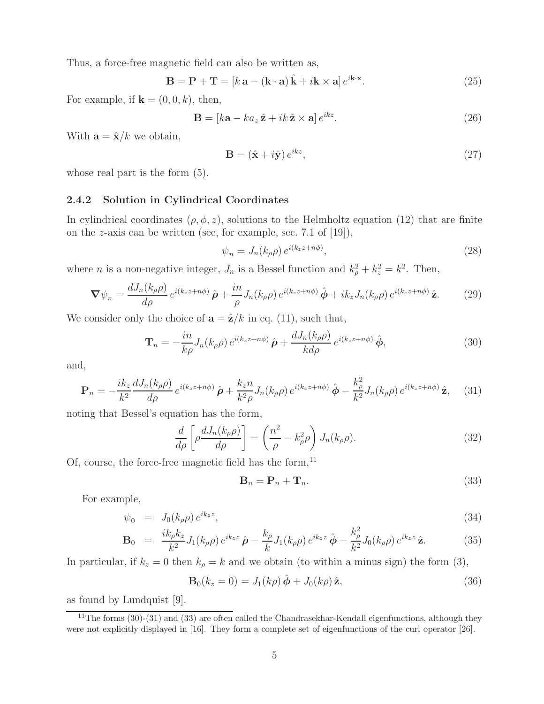Thus, a force-free magnetic field can also be written as,

$$
\mathbf{B} = \mathbf{P} + \mathbf{T} = [k \mathbf{a} - (\mathbf{k} \cdot \mathbf{a}) \hat{\mathbf{k}} + i \mathbf{k} \times \mathbf{a}] e^{i \mathbf{k} \cdot \mathbf{x}}.
$$
 (25)

For example, if  $\mathbf{k} = (0, 0, k)$ , then,

$$
\mathbf{B} = [k\mathbf{a} - k a_z \hat{\mathbf{z}} + ik \hat{\mathbf{z}} \times \mathbf{a}] e^{ikz}.
$$
 (26)

With  $\mathbf{a} = \hat{\mathbf{x}}/k$  we obtain,

$$
\mathbf{B} = (\hat{\mathbf{x}} + i\hat{\mathbf{y}}) e^{ikz},\tag{27}
$$

whose real part is the form  $(5)$ .

#### **2.4.2 Solution in Cylindrical Coordinates**

In cylindrical coordinates  $(\rho, \phi, z)$ , solutions to the Helmholtz equation (12) that are finite on the z-axis can be written (see, for example, sec. 7.1 of  $[19]$ ),

$$
\psi_n = J_n(k_\rho \rho) e^{i(k_z z + n\phi)},\tag{28}
$$

where *n* is a non-negative integer,  $J_n$  is a Bessel function and  $k_{\rho}^2 + k_z^2 = k^2$ . Then,

$$
\nabla \psi_n = \frac{dJ_n(k_\rho \rho)}{d\rho} e^{i(k_z z + n\phi)} \hat{\rho} + \frac{in}{\rho} J_n(k_\rho \rho) e^{i(k_z z + n\phi)} \hat{\phi} + ik_z J_n(k_\rho \rho) e^{i(k_z z + n\phi)} \hat{\mathbf{z}}.
$$
 (29)

We consider only the choice of  $\mathbf{a} = \hat{\mathbf{z}}/k$  in eq. (11), such that,

$$
\mathbf{T}_n = -\frac{in}{kp} J_n(k_\rho \rho) e^{i(k_z z + n\phi)} \hat{\boldsymbol{\rho}} + \frac{dJ_n(k_\rho \rho)}{kd\rho} e^{i(k_z z + n\phi)} \hat{\boldsymbol{\phi}}, \tag{30}
$$

and,

$$
\mathbf{P}_n = -\frac{ik_z}{k^2} \frac{dJ_n(k_\rho \rho)}{d\rho} e^{i(k_z z + n\phi)} \hat{\boldsymbol{\rho}} + \frac{k_z n}{k^2 \rho} J_n(k_\rho \rho) e^{i(k_z z + n\phi)} \hat{\boldsymbol{\phi}} - \frac{k_\rho^2}{k^2} J_n(k_\rho \rho) e^{i(k_z z + n\phi)} \hat{\mathbf{z}}, \quad (31)
$$

noting that Bessel's equation has the form,

$$
\frac{d}{d\rho} \left[ \rho \frac{dJ_n(k_\rho \rho)}{d\rho} \right] = \left( \frac{n^2}{\rho} - k_\rho^2 \rho \right) J_n(k_\rho \rho). \tag{32}
$$

Of, course, the force-free magnetic field has the form, $^{11}$ 

$$
\mathbf{B}_n = \mathbf{P}_n + \mathbf{T}_n. \tag{33}
$$

For example,

$$
\psi_0 = J_0(k_\rho \rho) e^{ik_z z},\tag{34}
$$

$$
\mathbf{B}_0 = \frac{ik_{\rho}k_z}{k^2} J_1(k_{\rho}\rho) e^{ik_z z} \hat{\boldsymbol{\rho}} - \frac{k_{\rho}}{k} J_1(k_{\rho}\rho) e^{ik_z z} \hat{\boldsymbol{\phi}} - \frac{k_{\rho}^2}{k^2} J_0(k_{\rho}\rho) e^{ik_z z} \hat{\mathbf{z}}.
$$
 (35)

In particular, if  $k_z = 0$  then  $k_\rho = k$  and we obtain (to within a minus sign) the form (3),

$$
\mathbf{B}_0(k_z=0) = J_1(k\rho)\,\hat{\boldsymbol{\phi}} + J_0(k\rho)\,\hat{\mathbf{z}},\tag{36}
$$

as found by Lundquist [9].

<sup>&</sup>lt;sup>11</sup>The forms (30)-(31) and (33) are often called the Chandrasekhar-Kendall eigenfunctions, although they were not explicitly displayed in [16]. They form a complete set of eigenfunctions of the curl operator [26].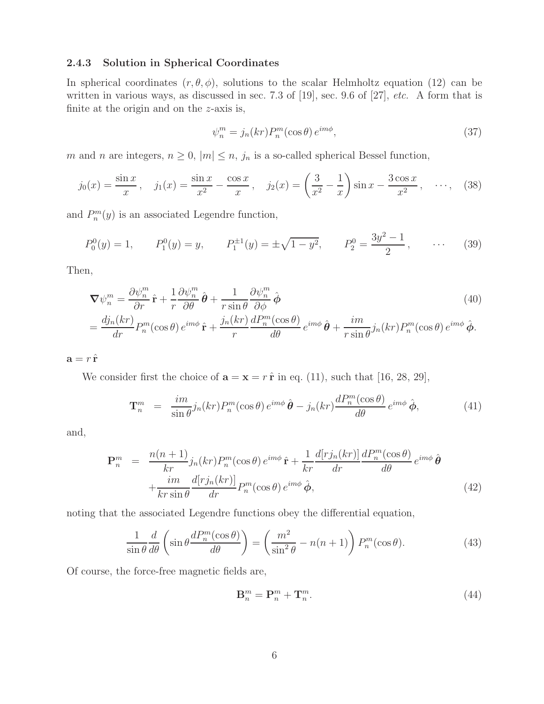#### **2.4.3 Solution in Spherical Coordinates**

In spherical coordinates  $(r, \theta, \phi)$ , solutions to the scalar Helmholtz equation (12) can be written in various ways, as discussed in sec. 7.3 of [19], sec. 9.6 of [27], *etc.* A form that is finite at the origin and on the  $z$ -axis is,

$$
\psi_n^m = j_n(kr) P_n^m(\cos \theta) e^{im\phi}, \qquad (37)
$$

m and n are integers,  $n \geq 0$ ,  $|m| \leq n$ ,  $j_n$  is a so-called spherical Bessel function,

$$
j_0(x) = \frac{\sin x}{x}, \quad j_1(x) = \frac{\sin x}{x^2} - \frac{\cos x}{x}, \quad j_2(x) = \left(\frac{3}{x^2} - \frac{1}{x}\right) \sin x - \frac{3\cos x}{x^2}, \quad \cdots, \quad (38)
$$

and  $P_n^m(y)$  is an associated Legendre function,

$$
P_0^0(y) = 1,
$$
  $P_1^0(y) = y,$   $P_1^{\pm 1}(y) = \pm \sqrt{1 - y^2},$   $P_2^0 = \frac{3y^2 - 1}{2},$  ... (39)

Then,

$$
\nabla \psi_n^m = \frac{\partial \psi_n^m}{\partial r} \hat{\mathbf{r}} + \frac{1}{r} \frac{\partial \psi_n^m}{\partial \theta} \hat{\boldsymbol{\theta}} + \frac{1}{r \sin \theta} \frac{\partial \psi_n^m}{\partial \phi} \hat{\boldsymbol{\phi}} \qquad (40)
$$
  
= 
$$
\frac{dj_n(kr)}{dr} P_n^m(\cos \theta) e^{im\phi} \hat{\mathbf{r}} + \frac{j_n(kr)}{r} \frac{dP_n^m(\cos \theta)}{d\theta} e^{im\phi} \hat{\boldsymbol{\theta}} + \frac{im}{r \sin \theta} j_n(kr) P_n^m(\cos \theta) e^{im\phi} \hat{\boldsymbol{\phi}}.
$$

 $\mathbf{a} = r \hat{\mathbf{r}}$ 

We consider first the choice of  $\mathbf{a} = \mathbf{x} = r \hat{\mathbf{r}}$  in eq. (11), such that [16, 28, 29],

$$
\mathbf{T}_n^m = \frac{im}{\sin \theta} j_n(kr) P_n^m(\cos \theta) e^{im\phi} \hat{\boldsymbol{\theta}} - j_n(kr) \frac{d P_n^m(\cos \theta)}{d\theta} e^{im\phi} \hat{\boldsymbol{\phi}}, \tag{41}
$$

and,

$$
\mathbf{P}_{n}^{m} = \frac{n(n+1)}{kr} j_{n}(kr) P_{n}^{m}(\cos \theta) e^{im\phi} \hat{\mathbf{r}} + \frac{1}{kr} \frac{d[rj_{n}(kr)]}{dr} \frac{dP_{n}^{m}(\cos \theta)}{d\theta} e^{im\phi} \hat{\theta} + \frac{im}{kr \sin \theta} \frac{d[rj_{n}(kr)]}{dr} P_{n}^{m}(\cos \theta) e^{im\phi} \hat{\phi}, \qquad (42)
$$

noting that the associated Legendre functions obey the differential equation,

$$
\frac{1}{\sin\theta} \frac{d}{d\theta} \left( \sin\theta \frac{dP_n^m(\cos\theta)}{d\theta} \right) = \left( \frac{m^2}{\sin^2\theta} - n(n+1) \right) P_n^m(\cos\theta). \tag{43}
$$

Of course, the force-free magnetic fields are,

$$
\mathbf{B}_n^m = \mathbf{P}_n^m + \mathbf{T}_n^m. \tag{44}
$$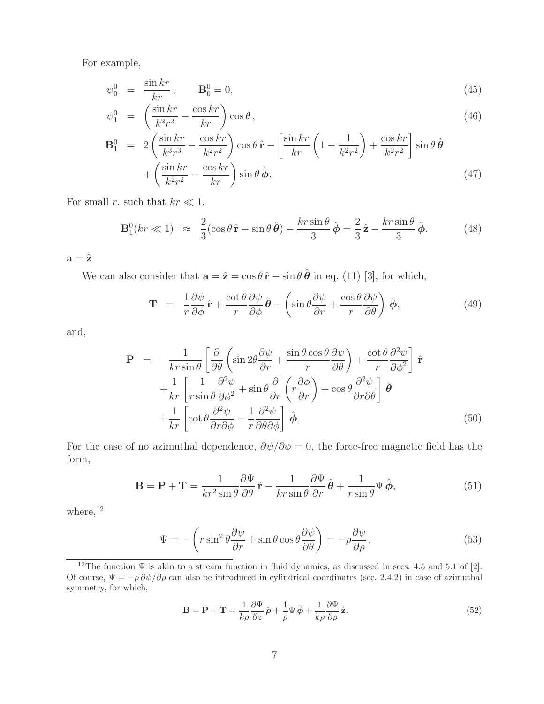For example,

$$
\psi_0^0 = \frac{\sin kr}{kr}, \qquad \mathbf{B}_0^0 = 0,\tag{45}
$$

$$
\psi_1^0 = \left(\frac{\sin kr}{k^2 r^2} - \frac{\cos kr}{kr}\right) \cos \theta, \tag{46}
$$

$$
\mathbf{B}_1^0 = 2\left(\frac{\sin kr}{k^3r^3} - \frac{\cos kr}{k^2r^2}\right)\cos\theta\,\hat{\mathbf{r}} - \left[\frac{\sin kr}{kr}\left(1 - \frac{1}{k^2r^2}\right) + \frac{\cos kr}{k^2r^2}\right]\sin\theta\,\hat{\boldsymbol{\theta}} + \left(\frac{\sin kr}{k^2r^2} - \frac{\cos kr}{kr}\right)\sin\theta\,\hat{\boldsymbol{\phi}}.\tag{47}
$$

For small r, such that  $kr \ll 1$ ,

$$
\mathbf{B}_1^0(kr \ll 1) \approx \frac{2}{3}(\cos\theta \,\hat{\mathbf{r}} - \sin\theta \,\hat{\boldsymbol{\theta}}) - \frac{kr\sin\theta}{3}\,\hat{\boldsymbol{\phi}} = \frac{2}{3}\,\hat{\mathbf{z}} - \frac{kr\sin\theta}{3}\,\hat{\boldsymbol{\phi}}.\tag{48}
$$

 $\mathbf{a} = \hat{\mathbf{z}}$ 

We can also consider that  $\mathbf{a} = \hat{\mathbf{z}} = \cos \theta \, \hat{\mathbf{r}} - \sin \theta \, \hat{\boldsymbol{\theta}}$  in eq. (11) [3], for which,

$$
\mathbf{T} = \frac{1}{r} \frac{\partial \psi}{\partial \phi} \hat{\mathbf{r}} + \frac{\cot \theta}{r} \frac{\partial \psi}{\partial \phi} \hat{\boldsymbol{\theta}} - \left( \sin \theta \frac{\partial \psi}{\partial r} + \frac{\cos \theta}{r} \frac{\partial \psi}{\partial \theta} \right) \hat{\boldsymbol{\phi}}, \tag{49}
$$

and,

$$
\mathbf{P} = -\frac{1}{kr \sin \theta} \left[ \frac{\partial}{\partial \theta} \left( \sin 2\theta \frac{\partial \psi}{\partial r} + \frac{\sin \theta \cos \theta}{r} \frac{\partial \psi}{\partial \theta} \right) + \frac{\cot \theta}{r} \frac{\partial^2 \psi}{\partial \phi^2} \right] \hat{\mathbf{r}} + \frac{1}{kr} \left[ \frac{1}{r \sin \theta} \frac{\partial^2 \psi}{\partial \phi^2} + \sin \theta \frac{\partial}{\partial r} \left( r \frac{\partial \phi}{\partial r} \right) + \cos \theta \frac{\partial^2 \psi}{\partial r \partial \theta} \right] \hat{\boldsymbol{\theta}} + \frac{1}{kr} \left[ \cot \theta \frac{\partial^2 \psi}{\partial r \partial \phi} - \frac{1}{r} \frac{\partial^2 \psi}{\partial \theta \partial \phi} \right] \hat{\boldsymbol{\phi}}.
$$
(50)

For the case of no azimuthal dependence,  $\partial \psi / \partial \phi = 0$ , the force-free magnetic field has the form,

$$
\mathbf{B} = \mathbf{P} + \mathbf{T} = \frac{1}{kr^2 \sin \theta} \frac{\partial \Psi}{\partial \theta} \hat{\mathbf{r}} - \frac{1}{kr \sin \theta} \frac{\partial \Psi}{\partial r} \hat{\boldsymbol{\theta}} + \frac{1}{r \sin \theta} \Psi \hat{\boldsymbol{\phi}},
$$
(51)

where,  $12$ 

$$
\Psi = -\left(r\sin^2\theta \frac{\partial \psi}{\partial r} + \sin\theta\cos\theta \frac{\partial \psi}{\partial \theta}\right) = -\rho \frac{\partial \psi}{\partial \rho},\qquad(53)
$$

<sup>12</sup>The function  $\Psi$  is akin to a stream function in fluid dynamics, as discussed in secs. 4.5 and 5.1 of [2]. Of course,  $\Psi = -\rho \frac{\partial \psi}{\partial \rho}$  can also be introduced in cylindrical coordinates (sec. 2.4.2) in case of azimuthal symmetry, for which,

$$
\mathbf{B} = \mathbf{P} + \mathbf{T} = \frac{1}{k\rho} \frac{\partial \Psi}{\partial z} \hat{\boldsymbol{\rho}} + \frac{1}{\rho} \Psi \hat{\boldsymbol{\phi}} + \frac{1}{k\rho} \frac{\partial \Psi}{\partial \rho} \hat{\mathbf{z}}.
$$
 (52)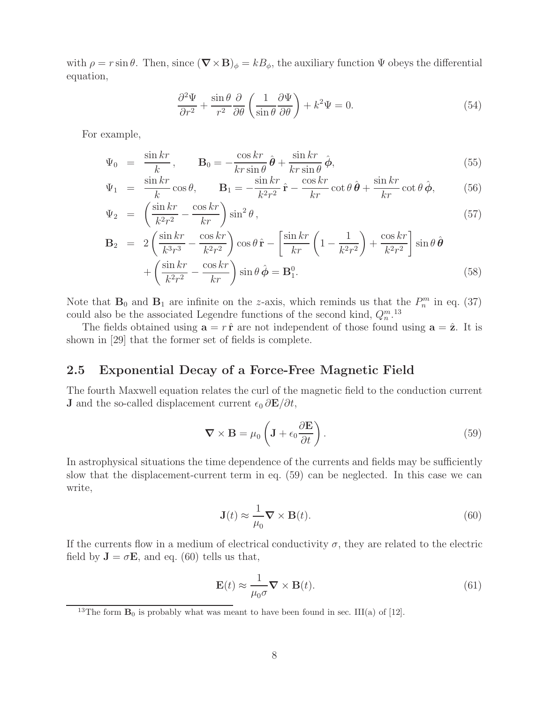with  $\rho = r \sin \theta$ . Then, since  $(\nabla \times \mathbf{B})_{\phi} = kB_{\phi}$ , the auxiliary function  $\Psi$  obeys the differential equation,

$$
\frac{\partial^2 \Psi}{\partial r^2} + \frac{\sin \theta}{r^2} \frac{\partial}{\partial \theta} \left( \frac{1}{\sin \theta} \frac{\partial \Psi}{\partial \theta} \right) + k^2 \Psi = 0.
$$
 (54)

For example,

$$
\Psi_0 = \frac{\sin kr}{k}, \qquad \mathbf{B}_0 = -\frac{\cos kr}{kr \sin \theta} \hat{\boldsymbol{\theta}} + \frac{\sin kr}{kr \sin \theta} \hat{\boldsymbol{\phi}}, \tag{55}
$$

$$
\Psi_1 = \frac{\sin kr}{k} \cos \theta, \qquad \mathbf{B}_1 = -\frac{\sin kr}{k^2 r^2} \hat{\mathbf{r}} - \frac{\cos kr}{kr} \cot \theta \, \hat{\boldsymbol{\theta}} + \frac{\sin kr}{kr} \cot \theta \, \hat{\boldsymbol{\phi}}, \tag{56}
$$

$$
\Psi_2 = \left(\frac{\sin kr}{k^2 r^2} - \frac{\cos kr}{kr}\right) \sin^2 \theta, \qquad (57)
$$

$$
\mathbf{B}_{2} = 2\left(\frac{\sin kr}{k^{3}r^{3}} - \frac{\cos kr}{k^{2}r^{2}}\right)\cos\theta\,\hat{\mathbf{r}} - \left[\frac{\sin kr}{kr}\left(1 - \frac{1}{k^{2}r^{2}}\right) + \frac{\cos kr}{k^{2}r^{2}}\right]\sin\theta\,\hat{\boldsymbol{\theta}} + \left(\frac{\sin kr}{k^{2}r^{2}} - \frac{\cos kr}{kr}\right)\sin\theta\,\hat{\boldsymbol{\phi}} = \mathbf{B}_{1}^{0}.\tag{58}
$$

Note that  $\mathbf{B}_0$  and  $\mathbf{B}_1$  are infinite on the z-axis, which reminds us that the  $P_n^m$  in eq. (37) could also be the associated Legendre functions of the second kind,  $Q_n^m$ .<sup>13</sup>

The fields obtained using  $\mathbf{a} = r\hat{\mathbf{r}}$  are not independent of those found using  $\mathbf{a} = \hat{\mathbf{z}}$ . It is shown in [29] that the former set of fields is complete.

### **2.5 Exponential Decay of a Force-Free Magnetic Field**

The fourth Maxwell equation relates the curl of the magnetic field to the conduction current **J** and the so-called displacement current  $\epsilon_0 \frac{\partial \mathbf{E}}{\partial t}$ ,

$$
\nabla \times \mathbf{B} = \mu_0 \left( \mathbf{J} + \epsilon_0 \frac{\partial \mathbf{E}}{\partial t} \right).
$$
 (59)

In astrophysical situations the time dependence of the currents and fields may be sufficiently slow that the displacement-current term in eq. (59) can be neglected. In this case we can write,

$$
\mathbf{J}(t) \approx \frac{1}{\mu_0} \nabla \times \mathbf{B}(t). \tag{60}
$$

If the currents flow in a medium of electrical conductivity  $\sigma$ , they are related to the electric field by  $J = \sigma E$ , and eq. (60) tells us that,

$$
\mathbf{E}(t) \approx \frac{1}{\mu_0 \sigma} \mathbf{\nabla} \times \mathbf{B}(t). \tag{61}
$$

<sup>&</sup>lt;sup>13</sup>The form  $\mathbf{B}_0$  is probably what was meant to have been found in sec. III(a) of [12].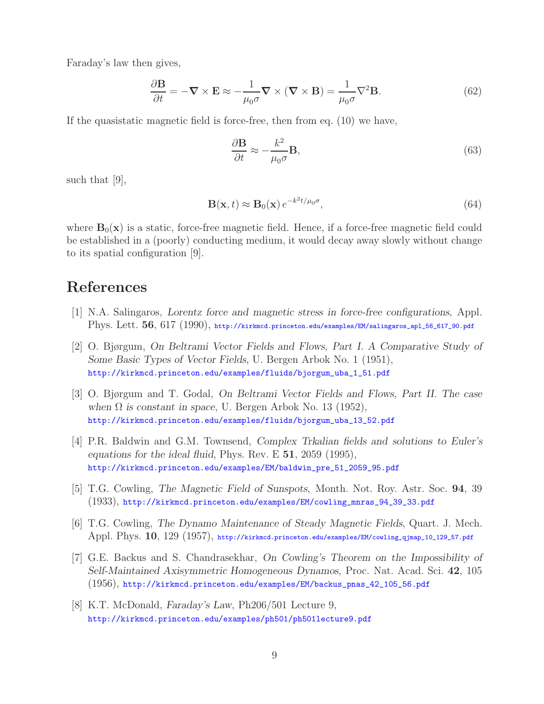Faraday's law then gives,

$$
\frac{\partial \mathbf{B}}{\partial t} = -\nabla \times \mathbf{E} \approx -\frac{1}{\mu_0 \sigma} \nabla \times (\nabla \times \mathbf{B}) = \frac{1}{\mu_0 \sigma} \nabla^2 \mathbf{B}.
$$
 (62)

If the quasistatic magnetic field is force-free, then from eq. (10) we have,

$$
\frac{\partial \mathbf{B}}{\partial t} \approx -\frac{k^2}{\mu_0 \sigma} \mathbf{B},\tag{63}
$$

such that [9],

$$
\mathbf{B}(\mathbf{x},t) \approx \mathbf{B}_0(\mathbf{x}) e^{-k^2 t/\mu_0 \sigma},\tag{64}
$$

where  $B_0(x)$  is a static, force-free magnetic field. Hence, if a force-free magnetic field could be established in a (poorly) conducting medium, it would decay away slowly without change to its spatial configuration [9].

# **References**

- [1] N.A. Salingaros, *Lorentz force and magnetic stress in force-free configurations*, Appl. Phys. Lett. **56**, 617 (1990), http://kirkmcd.princeton.edu/examples/EM/salingaros\_apl\_56\_617\_90.pdf
- [2] O. Bjørgum, *On Beltrami Vector Fields and Flows, Part I. A Comparative Study of Some Basic Types of Vector Fields*, U. Bergen Arbok No. 1 (1951), http://kirkmcd.princeton.edu/examples/fluids/bjorgum\_uba\_1\_51.pdf
- [3] O. Bjørgum and T. Godal, *On Beltrami Vector Fields and Flows, Part II. The case when*  $\Omega$  *is constant in space*, U. Bergen Arbok No. 13 (1952), http://kirkmcd.princeton.edu/examples/fluids/bjorgum\_uba\_13\_52.pdf
- [4] P.R. Baldwin and G.M. Townsend, *Complex Trkalian fields and solutions to Euler's equations for the ideal fluid*, Phys. Rev. E **51**, 2059 (1995), http://kirkmcd.princeton.edu/examples/EM/baldwin\_pre\_51\_2059\_95.pdf
- [5] T.G. Cowling, *The Magnetic Field of Sunspots*, Month. Not. Roy. Astr. Soc. **94**, 39 (1933), http://kirkmcd.princeton.edu/examples/EM/cowling\_mnras\_94\_39\_33.pdf
- [6] T.G. Cowling, *The Dynamo Maintenance of Steady Magnetic Fields*, Quart. J. Mech. Appl. Phys. **10**, 129 (1957), http://kirkmcd.princeton.edu/examples/EM/cowling\_qjmap\_10\_129\_57.pdf
- [7] G.E. Backus and S. Chandrasekhar, *On Cowling's Theorem on the Impossibility of Self-Maintained Axisymmetric Homogeneous Dynamos*, Proc. Nat. Acad. Sci. **42**, 105 (1956), http://kirkmcd.princeton.edu/examples/EM/backus\_pnas\_42\_105\_56.pdf
- [8] K.T. McDonald, *Faraday's Law*, Ph206/501 Lecture 9, http://kirkmcd.princeton.edu/examples/ph501/ph501lecture9.pdf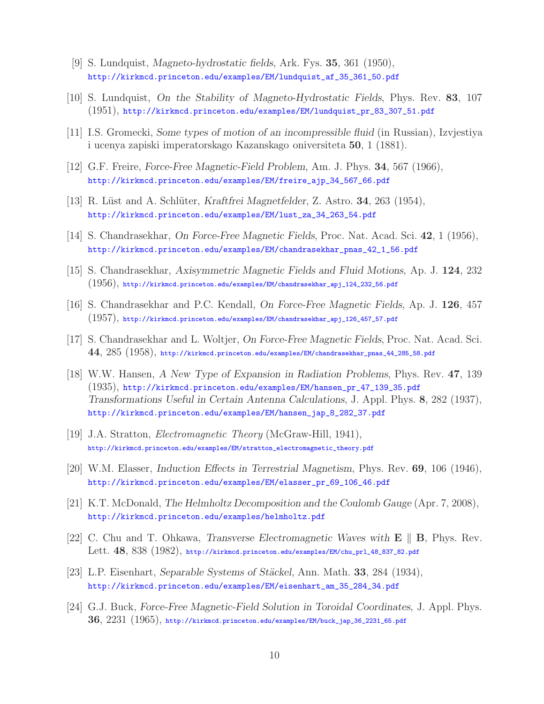- [9] S. Lundquist, *Magneto-hydrostatic fields*, Ark. Fys. **35**, 361 (1950), http://kirkmcd.princeton.edu/examples/EM/lundquist\_af\_35\_361\_50.pdf
- [10] S. Lundquist, *On the Stability of Magneto-Hydrostatic Fields*, Phys. Rev. **83**, 107 (1951), http://kirkmcd.princeton.edu/examples/EM/lundquist\_pr\_83\_307\_51.pdf
- [11] I.S. Gromecki, *Some types of motion of an incompressible fluid* (in Russian), Izvjestiya i ucenya zapiski imperatorskago Kazanskago oniversiteta **50**, 1 (1881).
- [12] G.F. Freire, *Force-Free Magnetic-Field Problem*, Am. J. Phys. **34**, 567 (1966), http://kirkmcd.princeton.edu/examples/EM/freire\_ajp\_34\_567\_66.pdf
- [13] R. Lüst and A. Schlüter, *Kraftfrei Magnetfelder*, Z. Astro. **34**, 263 (1954), http://kirkmcd.princeton.edu/examples/EM/lust\_za\_34\_263\_54.pdf
- [14] S. Chandrasekhar, *On Force-Free Magnetic Fields*, Proc. Nat. Acad. Sci. **42**, 1 (1956), http://kirkmcd.princeton.edu/examples/EM/chandrasekhar\_pnas\_42\_1\_56.pdf
- [15] S. Chandrasekhar, *Axisymmetric Magnetic Fields and Fluid Motions*, Ap. J. **124**, 232  $(1956)$ , http://kirkmcd.princeton.edu/examples/EM/chandrasekhar\_apj\_124\_232\_56.pdf
- [16] S. Chandrasekhar and P.C. Kendall, *On Force-Free Magnetic Fields*, Ap. J. **126**, 457 (1957), http://kirkmcd.princeton.edu/examples/EM/chandrasekhar\_apj\_126\_457\_57.pdf
- [17] S. Chandrasekhar and L. Woltjer, *On Force-Free Magnetic Fields*, Proc. Nat. Acad. Sci. **44**, 285 (1958), http://kirkmcd.princeton.edu/examples/EM/chandrasekhar\_pnas\_44\_285\_58.pdf
- [18] W.W. Hansen, *A New Type of Expansion in Radiation Problems*, Phys. Rev. **47**, 139 (1935), http://kirkmcd.princeton.edu/examples/EM/hansen\_pr\_47\_139\_35.pdf *Transformations Useful in Certain Antenna Calculations*, J. Appl. Phys. **8**, 282 (1937), http://kirkmcd.princeton.edu/examples/EM/hansen\_jap\_8\_282\_37.pdf
- [19] J.A. Stratton, *Electromagnetic Theory* (McGraw-Hill, 1941), http://kirkmcd.princeton.edu/examples/EM/stratton\_electromagnetic\_theory.pdf
- [20] W.M. Elasser, *Induction Effects in Terrestrial Magnetism*, Phys. Rev. **69**, 106 (1946), http://kirkmcd.princeton.edu/examples/EM/elasser\_pr\_69\_106\_46.pdf
- [21] K.T. McDonald, *The Helmholtz Decomposition and the Coulomb Gauge* (Apr. 7, 2008), http://kirkmcd.princeton.edu/examples/helmholtz.pdf
- [22] C. Chu and T. Ohkawa, *Transverse Electromagnetic Waves with* **E B**, Phys. Rev. Lett. **48**, 838 (1982), http://kirkmcd.princeton.edu/examples/EM/chu\_prl\_48\_837\_82.pdf
- [23] L.P. Eisenhart, *Separable Systems of St¨ackel*, Ann. Math. **33**, 284 (1934), http://kirkmcd.princeton.edu/examples/EM/eisenhart\_am\_35\_284\_34.pdf
- [24] G.J. Buck, *Force-Free Magnetic-Field Solution in Toroidal Coordinates*, J. Appl. Phys. **36**, 2231 (1965), http://kirkmcd.princeton.edu/examples/EM/buck\_jap\_36\_2231\_65.pdf